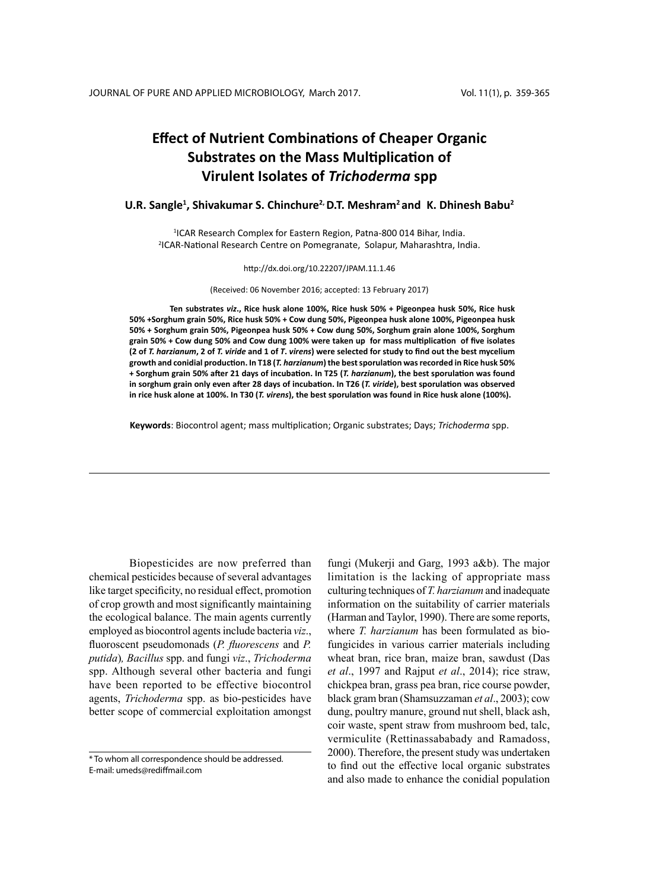# **Effect of Nutrient Combinations of Cheaper Organic Substrates on the Mass Multiplication of Virulent Isolates of** *Trichoderma* **spp**

# U.R. Sangle<sup>1</sup>, Shivakumar S. Chinchure<sup>2,</sup> D.T. Meshram<sup>2</sup> and K. Dhinesh Babu<sup>2</sup>

<sup>1</sup>ICAR Research Complex for Eastern Region, Patna-800 014 Bihar, India. 2 ICAR-National Research Centre on Pomegranate, Solapur, Maharashtra, India.

#### http://dx.doi.org/10.22207/JPAM.11.1.46

(Received: 06 November 2016; accepted: 13 February 2017)

**Ten substrates** *viz***., Rice husk alone 100%, Rice husk 50% + Pigeonpea husk 50%, Rice husk 50% +Sorghum grain 50%, Rice husk 50% + Cow dung 50%, Pigeonpea husk alone 100%, Pigeonpea husk 50% + Sorghum grain 50%, Pigeonpea husk 50% + Cow dung 50%, Sorghum grain alone 100%, Sorghum grain 50% + Cow dung 50% and Cow dung 100% were taken up for mass multiplication of five isolates (2 of** *T. harzianum***, 2 of** *T. viride* **and 1 of** *T***.** *virens***) were selected for study to find out the best mycelium growth and conidial production. In T18 (***T. harzianum***) the best sporulation was recorded in Rice husk 50% + Sorghum grain 50% after 21 days of incubation. In T25 (***T. harzianum***), the best sporulation was found in sorghum grain only even after 28 days of incubation. In T26 (***T. viride***), best sporulation was observed in rice husk alone at 100%. In T30 (***T. virens***), the best sporulation was found in Rice husk alone (100%).**

**Keywords**: Biocontrol agent; mass multiplication; Organic substrates; Days; *Trichoderma* spp.

Biopesticides are now preferred than chemical pesticides because of several advantages like target specificity, no residual effect, promotion of crop growth and most significantly maintaining the ecological balance. The main agents currently employed as biocontrol agents include bacteria *viz*., fluoroscent pseudomonads (*P. fluorescens* and *P. putida*)*, Bacillus* spp. and fungi *viz*., *Trichoderma* spp. Although several other bacteria and fungi have been reported to be effective biocontrol agents, *Trichoderma* spp. as bio-pesticides have better scope of commercial exploitation amongst

fungi (Mukerji and Garg, 1993 a&b). The major limitation is the lacking of appropriate mass culturing techniques of *T. harzianum* and inadequate information on the suitability of carrier materials (Harman and Taylor, 1990). There are some reports, where *T. harzianum* has been formulated as biofungicides in various carrier materials including wheat bran, rice bran, maize bran, sawdust (Das *et al*., 1997 and Rajput *et al*., 2014); rice straw, chickpea bran, grass pea bran, rice course powder, black gram bran (Shamsuzzaman *et al*., 2003); cow dung, poultry manure, ground nut shell, black ash, coir waste, spent straw from mushroom bed, talc, vermiculite (Rettinassababady and Ramadoss, 2000). Therefore, the present study was undertaken to find out the effective local organic substrates and also made to enhance the conidial population

<sup>\*</sup> To whom all correspondence should be addressed. E-mail: umeds@rediffmail.com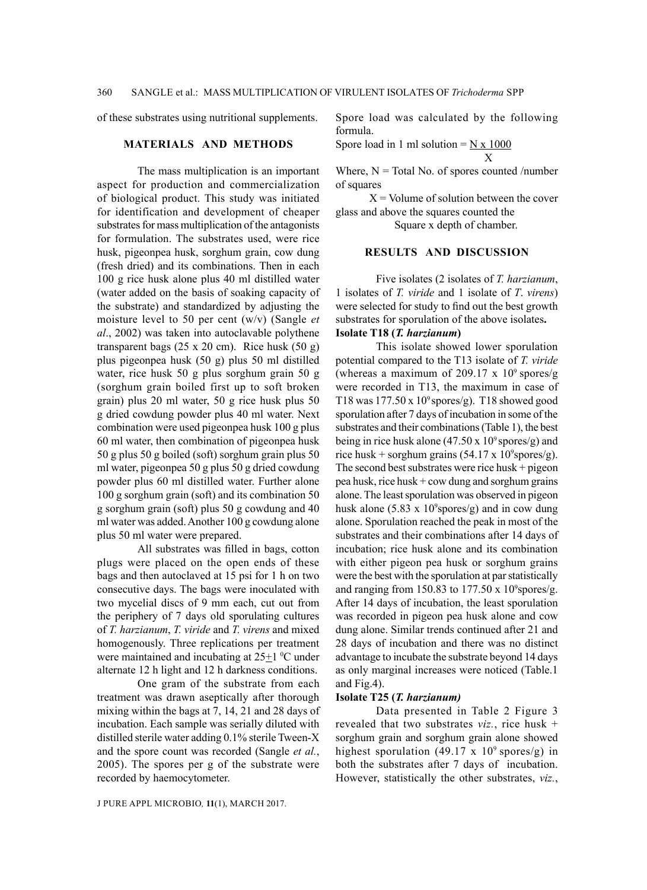of these substrates using nutritional supplements.

#### **Materials and Methods**

The mass multiplication is an important aspect for production and commercialization of biological product. This study was initiated for identification and development of cheaper substrates for mass multiplication of the antagonists for formulation. The substrates used, were rice husk, pigeonpea husk, sorghum grain, cow dung (fresh dried) and its combinations. Then in each 100 g rice husk alone plus 40 ml distilled water (water added on the basis of soaking capacity of the substrate) and standardized by adjusting the moisture level to 50 per cent (w/v) (Sangle *et al*., 2002) was taken into autoclavable polythene transparent bags  $(25 \times 20 \text{ cm})$ . Rice husk  $(50 \text{ g})$ plus pigeonpea husk (50 g) plus 50 ml distilled water, rice husk 50 g plus sorghum grain 50 g (sorghum grain boiled first up to soft broken grain) plus 20 ml water, 50 g rice husk plus 50 g dried cowdung powder plus 40 ml water. Next combination were used pigeonpea husk 100 g plus 60 ml water, then combination of pigeonpea husk 50 g plus 50 g boiled (soft) sorghum grain plus 50 ml water, pigeonpea 50 g plus 50 g dried cowdung powder plus 60 ml distilled water. Further alone 100 g sorghum grain (soft) and its combination 50 g sorghum grain (soft) plus 50 g cowdung and 40 ml water was added. Another 100 g cowdung alone plus 50 ml water were prepared.

All substrates was filled in bags, cotton plugs were placed on the open ends of these bags and then autoclaved at 15 psi for 1 h on two consecutive days. The bags were inoculated with two mycelial discs of 9 mm each, cut out from the periphery of 7 days old sporulating cultures of *T. harzianum*, *T. viride* and *T. virens* and mixed homogenously. Three replications per treatment were maintained and incubating at  $25\pm 1$  °C under alternate 12 h light and 12 h darkness conditions.

One gram of the substrate from each treatment was drawn aseptically after thorough mixing within the bags at 7, 14, 21 and 28 days of incubation. Each sample was serially diluted with distilled sterile water adding 0.1% sterile Tween-X and the spore count was recorded (Sangle *et al.*, 2005). The spores per g of the substrate were recorded by haemocytometer.

Spore load was calculated by the following formula.

$$
S\text{pore load in 1 ml solution} = \frac{N \times 1000}{X}
$$

Where,  $N = Total No.$  of spores counted /number of squares

 $X =$  Volume of solution between the cover glass and above the squares counted the

Square x depth of chamber.

## **Results and Discussion**

Five isolates (2 isolates of *T. harzianum*, 1 isolates of *T. viride* and 1 isolate of *T*. *virens*) were selected for study to find out the best growth substrates for sporulation of the above isolates**. Isolate T18 (***T. harzianum***)** 

This isolate showed lower sporulation potential compared to the T13 isolate of *T. viride* (whereas a maximum of 209.17 x  $10^9$  spores/g were recorded in T13, the maximum in case of T18 was  $177.50 \times 10^9$  spores/g). T18 showed good sporulation after 7 days of incubation in some of the substrates and their combinations (Table 1), the best being in rice husk alone (47.50 x  $10^9$  spores/g) and rice husk + sorghum grains  $(54.17 \times 10^9 \text{spores/g}).$ The second best substrates were rice husk  $+$  pigeon pea husk, rice husk + cow dung and sorghum grains alone. The least sporulation was observed in pigeon husk alone  $(5.83 \times 10^9 \text{spores/g})$  and in cow dung alone. Sporulation reached the peak in most of the substrates and their combinations after 14 days of incubation; rice husk alone and its combination with either pigeon pea husk or sorghum grains were the best with the sporulation at par statistically and ranging from 150.83 to 177.50  $\times$  10<sup>9</sup> spores/g. After 14 days of incubation, the least sporulation was recorded in pigeon pea husk alone and cow dung alone. Similar trends continued after 21 and 28 days of incubation and there was no distinct advantage to incubate the substrate beyond 14 days as only marginal increases were noticed (Table.1 and Fig.4).

# **Isolate T25 (***T. harzianum)*

Data presented in Table 2 Figure 3 revealed that two substrates *viz.*, rice husk + sorghum grain and sorghum grain alone showed highest sporulation (49.17 x  $10^9$  spores/g) in both the substrates after 7 days of incubation. However, statistically the other substrates, *viz.*,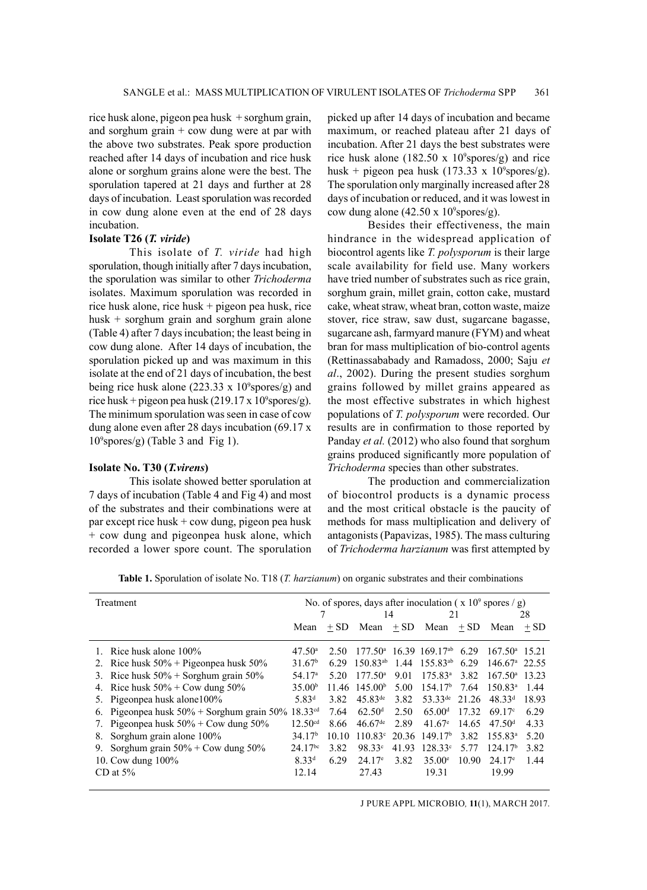rice husk alone, pigeon pea husk + sorghum grain, and sorghum grain + cow dung were at par with the above two substrates. Peak spore production reached after 14 days of incubation and rice husk alone or sorghum grains alone were the best. The sporulation tapered at 21 days and further at 28 days of incubation. Least sporulation was recorded in cow dung alone even at the end of 28 days incubation.

# **Isolate T26 (***T. viride***)**

This isolate of *T. viride* had high sporulation, though initially after 7 days incubation, the sporulation was similar to other *Trichoderma* isolates. Maximum sporulation was recorded in rice husk alone, rice husk + pigeon pea husk, rice husk + sorghum grain and sorghum grain alone (Table 4) after 7 days incubation; the least being in cow dung alone. After 14 days of incubation, the sporulation picked up and was maximum in this isolate at the end of 21 days of incubation, the best being rice husk alone  $(223.33 \times 10^9 \text{spores/g})$  and rice husk + pigeon pea husk  $(219.17 \times 10^9 \text{spores/g}).$ The minimum sporulation was seen in case of cow dung alone even after 28 days incubation (69.17 x 109 spores/g) (Table 3 and Fig 1).

#### **Isolate No. T30 (***T.virens***)**

This isolate showed better sporulation at 7 days of incubation (Table 4 and Fig 4) and most of the substrates and their combinations were at par except rice husk + cow dung, pigeon pea husk + cow dung and pigeonpea husk alone, which recorded a lower spore count. The sporulation

picked up after 14 days of incubation and became maximum, or reached plateau after 21 days of incubation. After 21 days the best substrates were rice husk alone  $(182.50 \times 10^9 \text{spores/g})$  and rice husk + pigeon pea husk  $(173.33 \times 10^9 \text{spores/g}).$ The sporulation only marginally increased after 28 days of incubation or reduced, and it was lowest in cow dung alone  $(42.50 \times 10^9 \text{spores/g}).$ 

Besides their effectiveness, the main hindrance in the widespread application of biocontrol agents like *T. polysporum* is their large scale availability for field use. Many workers have tried number of substrates such as rice grain, sorghum grain, millet grain, cotton cake, mustard cake, wheat straw, wheat bran, cotton waste, maize stover, rice straw, saw dust, sugarcane bagasse, sugarcane ash, farmyard manure (FYM) and wheat bran for mass multiplication of bio-control agents (Rettinassababady and Ramadoss, 2000; Saju *et al*., 2002). During the present studies sorghum grains followed by millet grains appeared as the most effective substrates in which highest populations of *T. polysporum* were recorded. Our results are in confirmation to those reported by Panday *et al.* (2012) who also found that sorghum grains produced significantly more population of *Trichoderma* species than other substrates.

The production and commercialization of biocontrol products is a dynamic process and the most critical obstacle is the paucity of methods for mass multiplication and delivery of antagonists (Papavizas, 1985). The mass culturing of *Trichoderma harzianum* was first attempted by

**Table 1.** Sporulation of isolate No. T18 (*T. harzianum*) on organic substrates and their combinations

| Treatment                                                           | No. of spores, days after inoculation ( $x 10^9$ spores / g) |        |                       |        |                                                |        |                        |        |
|---------------------------------------------------------------------|--------------------------------------------------------------|--------|-----------------------|--------|------------------------------------------------|--------|------------------------|--------|
|                                                                     |                                                              |        | 14                    |        | 21                                             |        | 28                     |        |
|                                                                     | Mean                                                         | $+$ SD | Mean                  | $+$ SD | Mean                                           | $+$ SD | Mean                   | $+$ SD |
| 1. Rice husk alone $100\%$                                          | $47.50^{\circ}$                                              | 2.50   |                       |        | $177.50^{\text{a}}$ 16.39 169.17 <sup>ab</sup> | 6.29   | $167.50^{\circ}$ 15.21 |        |
| 2. Rice husk $50\%$ + Pigeonpea husk $50\%$                         | 31.67 <sup>b</sup>                                           | 6.29   | $150.83^{ab}$         | 1.44   | $155.83^{ab}$                                  | 6.29   | $146.67^{\circ}$ 22.55 |        |
| 3. Rice husk $50\%$ + Sorghum grain $50\%$                          | 54.17 <sup>a</sup>                                           | 5.20   | $177.50^{\circ}$      | 9.01   | $175.83^{\circ}$                               | 3.82   | $167.50^{\circ}$       | 13.23  |
| 4. Rice husk $50\% + \text{Cow dung } 50\%$                         | 35.00 <sup>b</sup>                                           | 11.46  | 145.00 <sup>b</sup>   | 5.00   | 154.17 <sup>b</sup>                            | 7.64   | $150.83^{\circ}$       | 1.44   |
| 5. Pigeonpea husk alone100%                                         | 5.83 <sup>d</sup>                                            | 3.82   | $45.83^{\text{de}}$   | 3.82   | $53.33^{\text{de}}$                            | 21.26  | $48.33^{d}$            | 18.93  |
| 6. Pigeonpea husk $50\%$ + Sorghum grain $50\%$ 18.33 <sup>cd</sup> |                                                              | 7.64   | 62.50 <sup>d</sup>    | 2.50   | 65.00 <sup>d</sup>                             | 17.32  | $69.17^{\circ}$        | 6.29   |
| 7. Pigeonpea husk $50\%$ + Cow dung $50\%$                          | 12.50 <sup>cd</sup>                                          | 8.66   | $46.67$ <sup>de</sup> | 2.89   | $41.67^{\circ}$                                | 14.65  | 47.50 <sup>d</sup>     | 4.33   |
| Sorghum grain alone 100%<br>8.                                      | 34.17 <sup>b</sup>                                           | 10.10  | $110.83^{\circ}$      |        | $20.36$ 149.17 <sup>b</sup>                    | 3.82   | $155.83^{\circ}$       | 5.20   |
| Sorghum grain $50\%$ + Cow dung $50\%$<br>9.                        | $24.17^{bc}$                                                 | 3.82   | 98.33 <sup>c</sup>    | 41.93  | $128.33^{\circ}$                               | 5.77   | 124.17 <sup>b</sup>    | 3.82   |
| 10. Cow dung $100\%$                                                | $8.33^{d}$                                                   | 6.29   | $24.17^{\circ}$       | 3.82   | $35.00^{\circ}$                                | 10.90  | $24.17^{\circ}$        | 1.44   |
| CD at $5\%$                                                         | 12.14                                                        |        | 27.43                 |        | 19.31                                          |        | 19.99                  |        |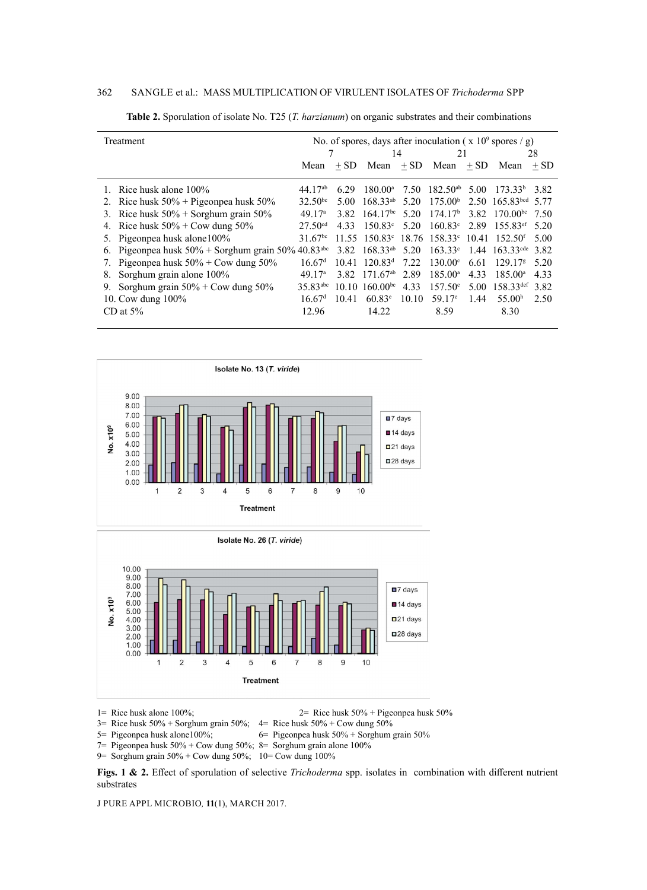# 362 Sangle et al.: Mass Multiplication of Virulent Isolates of *Trichoderma* spp

| Treatment                                                            | No. of spores, days after inoculation ( $\bar{x}$ 10 <sup>9</sup> spores / g) |        |                                                                            |       |                                  |      |                                             |        |
|----------------------------------------------------------------------|-------------------------------------------------------------------------------|--------|----------------------------------------------------------------------------|-------|----------------------------------|------|---------------------------------------------|--------|
|                                                                      |                                                                               |        | 14                                                                         |       | 21                               |      | 28                                          |        |
|                                                                      | Mean                                                                          | $+$ SD |                                                                            |       | Mean $+ SD$ Mean $+ SD$          |      | Mean                                        | $+$ SD |
| 1. Rice husk alone 100%                                              | 44.17 <sup>ab</sup>                                                           | 6.29   | $180.00^{\rm a}$                                                           |       | $7.50$ 182.50 <sup>ab</sup> 5.00 |      | $173.33^{\circ}$ 3.82                       |        |
| 2. Rice husk $50\%$ + Pigeonpea husk $50\%$                          | $32.50^{bc}$                                                                  | 5.00   | $168.33^{ab}$                                                              | 5.20  | 175.00 <sup>b</sup>              |      | 2.50 165.83 bcd 5.77                        |        |
| 3. Rice husk $50\%$ + Sorghum grain $50\%$                           | 49.17 <sup>a</sup>                                                            | 3.82   | 164.17 <sup>bc</sup>                                                       | 5.20  | 174.17 <sup>b</sup>              |      | 3.82 170.00 <sup>bc</sup> 7.50              |        |
| 4. Rice husk $50\%$ + Cow dung $50\%$                                | 27.50 <sup>cd</sup>                                                           | 4.33   | $150.83^{\circ}$                                                           | 5.20  | $160.83^{\circ}$                 |      | 2.89 155.83 <sup>ef</sup>                   | 5.20   |
| 5. Pigeonpea husk alone100%                                          | 31.67 <sup>bc</sup>                                                           |        | $11.55$ $150.83^{\circ}$ $18.76$ $158.33^{\circ}$ $10.41$ $152.50^{\circ}$ |       |                                  |      |                                             | 5.00   |
| 6. Pigeonpea husk $50\%$ + Sorghum grain $50\%$ 40.83 <sup>abc</sup> |                                                                               | 3.82   | $168.33^{ab}$ 5.20                                                         |       |                                  |      | $163.33^{\circ}$ 1.44 $163.33^{\circ}$ 3.82 |        |
| 7. Pigeonpea husk $50\%$ + Cow dung $50\%$                           | 16.67 <sup>d</sup>                                                            |        | $10.41$ $120.83d$                                                          | 7.22  | $130.00^{\circ}$                 | 6.61 | 129.17 <sup>g</sup>                         | 5.20   |
| Sorghum grain alone 100%<br>8.                                       | 49.17 <sup>a</sup>                                                            | 3.82   | $171.67^{ab}$                                                              | 2.89  | $185.00^{\circ}$                 | 4.33 | $185.00^{\circ}$                            | 4.33   |
| Sorghum grain $50\%$ + Cow dung $50\%$<br>9.                         | 35.83 <sup>abc</sup>                                                          |        | $10.10 \text{ } 160.00$ <sup>bc</sup>                                      | 4.33  | $157.50^{\circ}$                 |      | 5.00 $158.33^{\text{def}}$ 3.82             |        |
| 10. Cow dung $100\%$                                                 | 16.67 <sup>d</sup>                                                            | 10.41  | $60.83^{\circ}$                                                            | 10.10 | 59.17 $\degree$                  | 1.44 | 55.00 <sup>h</sup>                          | 2.50   |
| CD at $5\%$                                                          | 12.96                                                                         |        | 14.22                                                                      |       | 8.59                             |      | 8.30                                        |        |

**Table 2.** Sporulation of isolate No. T25 (*T. harzianum*) on organic substrates and their combinations





1= Rice husk alone 100%;  $2 =$  Rice husk 50% + Pigeonpea husk 50%

3= Rice husk  $50\%$  + Sorghum grain  $50\%$ ; 4= Rice husk  $50\%$  + Cow dung  $50\%$ 

5= Pigeonpea husk alone100%; 6= Pigeonpea husk 50% + Sorghum grain 50%

7= Pigeonpea husk 50% + Cow dung 50%; 8= Sorghum grain alone 100%

9= Sorghum grain 50% + Cow dung 50%; 10= Cow dung 100%

**Figs. 1 & 2.** Effect of sporulation of selective *Trichoderma* spp. isolates in combination with different nutrient substrates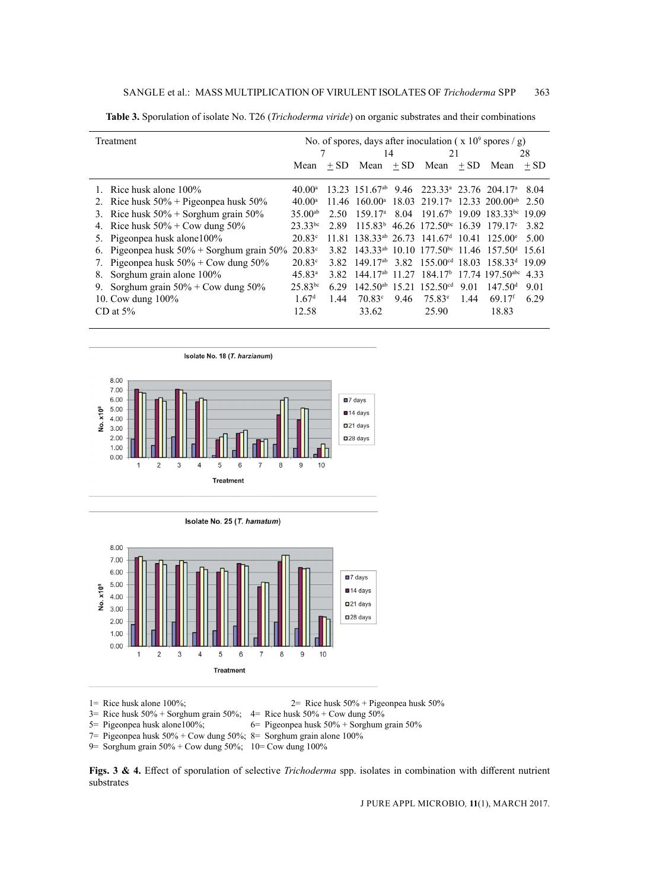| Treatment                                       | No. of spores, days after inoculation ( $\bar{x}$ 10 <sup>9</sup> spores / g) |        |                    |      |                                                                                |      |                                                                                     |        |
|-------------------------------------------------|-------------------------------------------------------------------------------|--------|--------------------|------|--------------------------------------------------------------------------------|------|-------------------------------------------------------------------------------------|--------|
|                                                 |                                                                               |        | 14                 |      | 21                                                                             |      | 28                                                                                  |        |
|                                                 | Mean                                                                          | $+$ SD | $Mean + SD$        |      | Mean $+SD$                                                                     |      | Mean                                                                                | $+$ SD |
| 1. Rice husk alone 100%                         | $40.00^{\rm a}$                                                               |        |                    |      | 13.23 151.67 <sup>ab</sup> 9.46 223.33 <sup>a</sup> 23.76 204.17 <sup>a</sup>  |      |                                                                                     | 8.04   |
| 2. Rice husk $50\%$ + Pigeonpea husk $50\%$     | $40.00^{\rm a}$                                                               |        | $11.46 \t160.00^a$ |      |                                                                                |      | $18.03$ 219.17 <sup>a</sup> 12.33 200.00 <sup>ab</sup>                              | 2.50   |
| 3. Rice husk $50\%$ + Sorghum grain $50\%$      | $35.00^{ab}$                                                                  | 2.50   | $159.17^{\circ}$   |      |                                                                                |      | 8.04 191.67 19.09 183.33 bc 19.09                                                   |        |
| 4. Rice husk $50\% + \text{Cow}$ dung $50\%$    | $23.33^{bc}$                                                                  | 2.89   |                    |      | $115.83b$ 46.26 172.50 <sup>bc</sup> 16.39 179.17 <sup>c</sup>                 |      |                                                                                     | 3.82   |
| 5. Pigeonpea husk alone 100%                    | $20.83^{\circ}$                                                               |        |                    |      | 11.81 138.33 <sup>ab</sup> 26.73 141.67 <sup>d</sup> 10.41 125.00 <sup>e</sup> |      |                                                                                     | 5.00   |
| 6. Pigeonpea husk $50\%$ + Sorghum grain $50\%$ | $20.83^{\circ}$                                                               | 3.82   |                    |      |                                                                                |      | $143.33^{ab}$ 10.10 177.50 <sup>bc</sup> 11.46 157.50 <sup>d</sup> 15.61            |        |
| 7. Pigeonpea husk $50\%$ + Cow dung $50\%$      | $20.83^{\circ}$                                                               |        |                    |      |                                                                                |      | 3.82 149.17 <sup>ab</sup> 3.82 155.00 <sup>cd</sup> 18.03 158.33 <sup>d</sup> 19.09 |        |
| Sorghum grain alone 100%<br>8.                  | $45.83^{\circ}$                                                               | 3.82   |                    |      |                                                                                |      | $144.17ab$ 11.27 184.17 <sup>b</sup> 17.74 197.50 <sup>abc</sup> 4.33               |        |
| Sorghum grain $50\%$ + Cow dung $50\%$<br>9.    | $25.83^{bc}$                                                                  | 6.29   |                    |      | $142.50^{ab}$ 15.21 152.50 <sup>cd</sup>                                       | 9.01 | 147.50 <sup>d</sup>                                                                 | 9.01   |
| 10. Cow dung 100%                               | 1.67 <sup>d</sup>                                                             | 1.44   | $70.83^{\circ}$    | 9.46 | $75.83^{\circ}$                                                                | 1.44 | $69.17$ <sup>f</sup>                                                                | 6.29   |
| CD at $5\%$                                     | 12.58                                                                         |        | 33.62              |      | 25.90                                                                          |      | 18.83                                                                               |        |

**Table 3.** Sporulation of isolate No. T26 (*Trichoderma viride*) on organic substrates and their combinations





1= Rice husk alone 100%; 2= Rice husk 50% + Pigeonpea husk 50%

 $3=$  Rice husk  $50\%$  + Sorghum grain  $50\%$ ;  $4=$  Rice husk  $50\%$  + Cow dung  $50\%$ 

5= Pigeonpea husk alone100%; 6= Pigeonpea husk 50% + Sorghum grain 50%

7= Pigeonpea husk 50% + Cow dung 50%; 8= Sorghum grain alone 100%

9= Sorghum grain 50% + Cow dung 50%; 10= Cow dung 100%

**Figs. 3 & 4.** Effect of sporulation of selective *Trichoderma* spp. isolates in combination with different nutrient substrates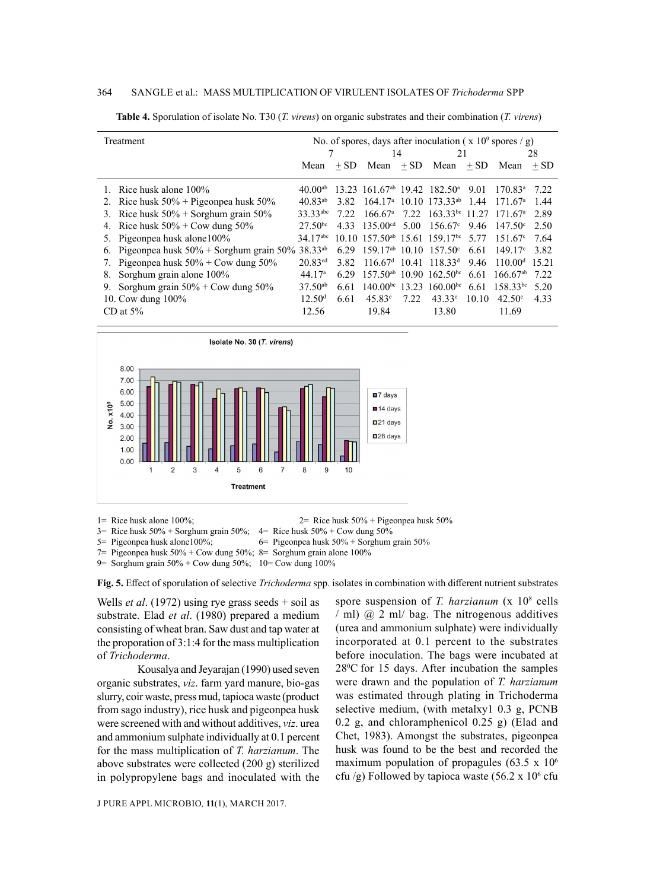#### 364 Sangle et al.: Mass Multiplication of Virulent Isolates of *Trichoderma* spp

| Treatment                                       | No. of spores, days after inoculation ( $x 10^9$ spores / g) |        |                                     |        |                                                             |        |                                                                              |        |
|-------------------------------------------------|--------------------------------------------------------------|--------|-------------------------------------|--------|-------------------------------------------------------------|--------|------------------------------------------------------------------------------|--------|
|                                                 |                                                              |        | 14                                  |        | 21                                                          |        | 28                                                                           |        |
|                                                 | Mean                                                         | $+$ SD | Mean                                | $+$ SD | Mean                                                        | $+$ SD | Mean                                                                         | $+$ SD |
| 1. Rice husk alone 100%                         | $40.00^{ab}$                                                 |        |                                     |        | $13.23$ 161.67 <sup>ab</sup> 19.42 182.50 <sup>a</sup> 9.01 |        | $170.83^{\circ}$ 7.22                                                        |        |
| 2. Rice husk $50\%$ + Pigeonpea husk $50\%$     | $40.83^{ab}$                                                 | 3.82   |                                     |        | $164.17^{\text{a}}$ 10.10 $173.33^{\text{ab}}$ 1.44         |        | 171.67 <sup>a</sup>                                                          | 1.44   |
| 3. Rice husk $50\%$ + Sorghum grain $50\%$      | 33.33 <sup>abc</sup>                                         | 7.22   |                                     |        |                                                             |        | $166.67^{\text{a}}$ 7.22 $163.33^{\text{bc}}$ 11.27 171.67 <sup>a</sup> 2.89 |        |
| 4. Rice husk $50\%$ + Cow dung $50\%$           | $27.50^{bc}$                                                 | 4.33   | 135.00 <sup>cd</sup>                |        | 5.00 $156.67^{\circ}$                                       | 9.46   | $147.50^{\circ}$ 2.50                                                        |        |
| 5. Pigeonpea husk alone 100%                    | $34.17$ <sup>abc</sup>                                       |        |                                     |        | $10.10$ 157.50 <sup>ab</sup> 15.61 159.17 <sup>bc</sup>     | 5.77   | 151.67 <sup>c</sup>                                                          | 7.64   |
| 6. Pigeonpea husk $50\%$ + Sorghum grain $50\%$ | $38.33^{ab}$                                                 | 6.29   | $159.17^{ab}$ 10.10 $157.50^c$      |        |                                                             | 6.61   | 149.17c                                                                      | 3.82   |
| 7. Pigeonpea husk $50\%$ + Cow dung $50\%$      | $20.83^{cd}$                                                 | 3.82   | $116.67d$ 10.41 118.33 <sup>d</sup> |        |                                                             | 9.46   | $110.00d$ 15.21                                                              |        |
| Sorghum grain alone 100%<br>8.                  | 44.17 <sup>a</sup>                                           | 6.29   |                                     |        | $157.50^{ab}$ 10.90 $162.50^{bc}$                           | 6.61   | $166.67^{ab}$                                                                | 7.22   |
| Sorghum grain $50\%$ + Cow dung $50\%$<br>9.    | $37.50^{ab}$                                                 | 6.61   |                                     |        | $140.00^{bc}$ 13.23 160.00 <sup>bc</sup>                    |        | 6.61 158.33 <sup>bc</sup>                                                    | 5.20   |
| 10. Cow dung $100\%$                            | 12.50 <sup>d</sup>                                           | 6.61   | $45.83^{\circ}$                     | 7.22   | $43.33^{\circ}$                                             | 10.10  | $42.50^{\circ}$                                                              | 4.33   |
| CD at $5\%$                                     | 12.56                                                        |        | 19.84                               |        | 13.80                                                       |        | 11.69                                                                        |        |

**Table 4.** Sporulation of isolate No. T30 (*T. virens*) on organic substrates and their combination (*T. virens*)



1= Rice husk alone 100%; 2= Rice husk 50% + Pigeonpea husk 50%

- $3=$  Rice husk  $50\%$  + Sorghum grain  $50\%$ ;  $4=$  Rice husk  $50\%$  + Cow dung  $50\%$
- 5= Pigeonpea husk alone100%; 6= Pigeonpea husk 50% + Sorghum grain 50%
- 7= Pigeonpea husk  $50\%$  + Cow dung  $50\%$ ; 8= Sorghum grain alone  $100\%$
- 9= Sorghum grain 50% + Cow dung 50%; 10= Cow dung 100%

**Fig. 5.** Effect of sporulation of selective *Trichoderma* spp. isolates in combination with different nutrient substrates

Wells *et al*. (1972) using rye grass seeds + soil as substrate. Elad *et al*. (1980) prepared a medium consisting of wheat bran. Saw dust and tap water at the proporation of 3:1:4 for the mass multiplication of *Trichoderma*.

Kousalya and Jeyarajan (1990) used seven organic substrates, *viz*. farm yard manure, bio-gas slurry, coir waste, press mud, tapioca waste (product from sago industry), rice husk and pigeonpea husk were screened with and without additives, *viz*. urea and ammonium sulphate individually at 0.1 percent for the mass multiplication of *T. harzianum*. The above substrates were collected (200 g) sterilized in polypropylene bags and inoculated with the

J PURE APPL MICROBIO*,* **11**(1), March 2017.

spore suspension of *T. harzianum* (x 10<sup>8</sup> cells / ml) @ 2 ml/ bag. The nitrogenous additives (urea and ammonium sulphate) were individually incorporated at 0.1 percent to the substrates before inoculation. The bags were incubated at 280 C for 15 days. After incubation the samples were drawn and the population of *T. harzianum* was estimated through plating in Trichoderma selective medium, (with metalxy1 0.3 g, PCNB 0.2 g, and chloramphenicol 0.25 g) (Elad and Chet, 1983). Amongst the substrates, pigeonpea husk was found to be the best and recorded the maximum population of propagules (63.5 x  $10<sup>6</sup>$ cfu /g) Followed by tapioca waste  $(56.2 \times 10^6 \text{ cftu})$